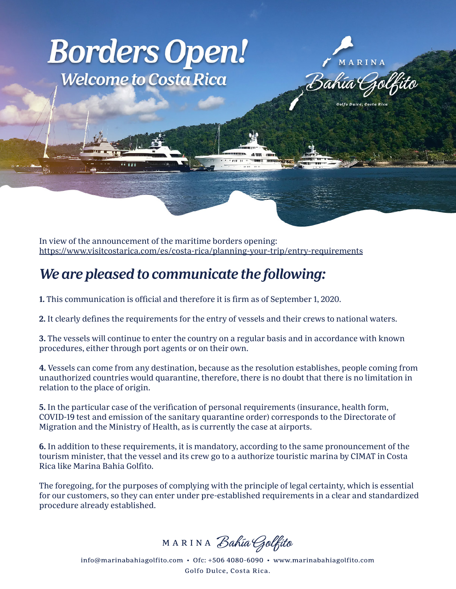## **Borders Open! Welcome to Costa Rica**

MARINA Bahia t

Golfo Dulce, Costa Rica

In view of the announcement of the maritime borders opening: <https://www.visitcostarica.com/es/costa-rica/planning-your-trip/entry-requirements>

## *We are pleased to communicate the following:*

**1.** This communication is official and therefore it is firm as of September 1, 2020.

**2.** It clearly defines the requirements for the entry of vessels and their crews to national waters.

**ABU** 

**3.** The vessels will continue to enter the country on a regular basis and in accordance with known procedures, either through port agents or on their own.

**4.** Vessels can come from any destination, because as the resolution establishes, people coming from unauthorized countries would quarantine, therefore, there is no doubt that there is no limitation in relation to the place of origin.

**5.** In the particular case of the verification of personal requirements (insurance, health form, COVID-19 test and emission of the sanitary quarantine order) corresponds to the Directorate of Migration and the Ministry of Health, as is currently the case at airports.

**6.** In addition to these requirements, it is mandatory, according to the same pronouncement of the tourism minister, that the vessel and its crew go to a authorize touristic marina by CIMAT in Costa Rica like Marina Bahia Golfito.

The foregoing, for the purposes of complying with the principle of legal certainty, which is essential for our customers, so they can enter under pre-established requirements in a clear and standardized procedure already established.

MARINA Bahía Golfito

info@marinabahiagolfito.com • Ofc: +506 4080-6090 • www.marinabahiagolfito.com Golfo Dulce, Costa Rica.